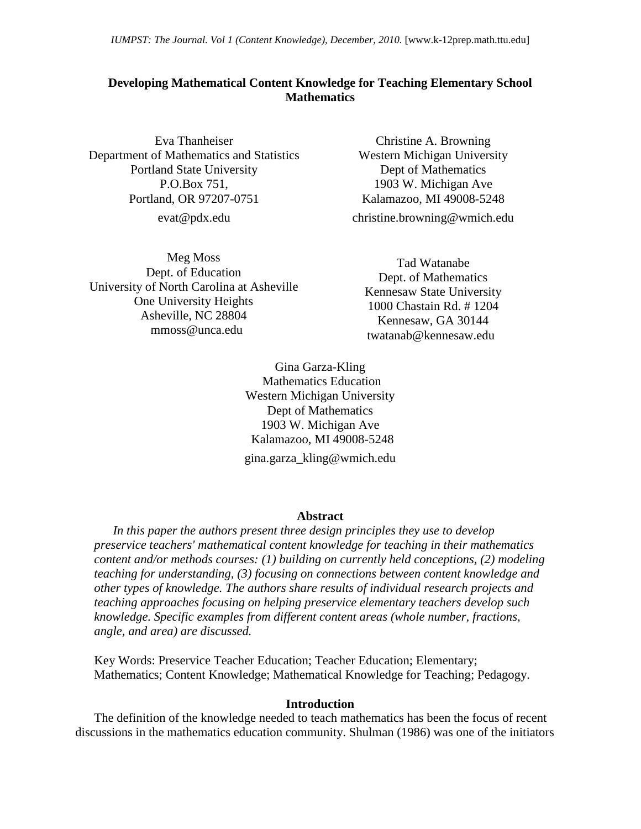*IUMPST: The Journal. Vol 1 (Content Knowledge), December, 2010.* [www.k-12prep.math.ttu.edu]

## **Developing Mathematical Content Knowledge for Teaching Elementary School Mathematics**

Eva Thanheiser Department of Mathematics and Statistics Portland State University P.O.Box 751, Portland, OR 97207-0751

[evat@pdx.edu](mailto:evat@pdx.edu)

Meg Moss Dept. of Education University of North Carolina at Asheville One University Heights Asheville, NC 28804 mmoss@unca.edu

Christine A. Browning Western Michigan University Dept of Mathematics 1903 W. Michigan Ave Kalamazoo, MI 49008-5248

[christine.browning@wmich.edu](mailto:christine.browning@wmich.edu)

Tad Watanabe Dept. of Mathematics Kennesaw State University 1000 Chastain Rd. # 1204 Kennesaw, GA 30144 [twatanab@kennesaw.edu](mailto:twatanab@kennesaw.edu)

Gina Garza-Kling Mathematics Education Western Michigan University Dept of Mathematics 1903 W. Michigan Ave Kalamazoo, MI 49008-5248 [gina.garza\\_kling@wmich.edu](mailto:gina.garza_kling@wmich.edu)

#### **Abstract**

*In this paper the authors present three design principles they use to develop preservice teachers' mathematical content knowledge for teaching in their mathematics content and/or methods courses: (1) building on currently held conceptions, (2) modeling teaching for understanding, (3) focusing on connections between content knowledge and other types of knowledge. The authors share results of individual research projects and teaching approaches focusing on helping preservice elementary teachers develop such knowledge. Specific examples from different content areas (whole number, fractions, angle, and area) are discussed.*

Key Words: Preservice Teacher Education; Teacher Education; Elementary; Mathematics; Content Knowledge; Mathematical Knowledge for Teaching; Pedagogy.

### **Introduction**

The definition of the knowledge needed to teach mathematics has been the focus of recent discussions in the mathematics education community. Shulman (1986) was one of the initiators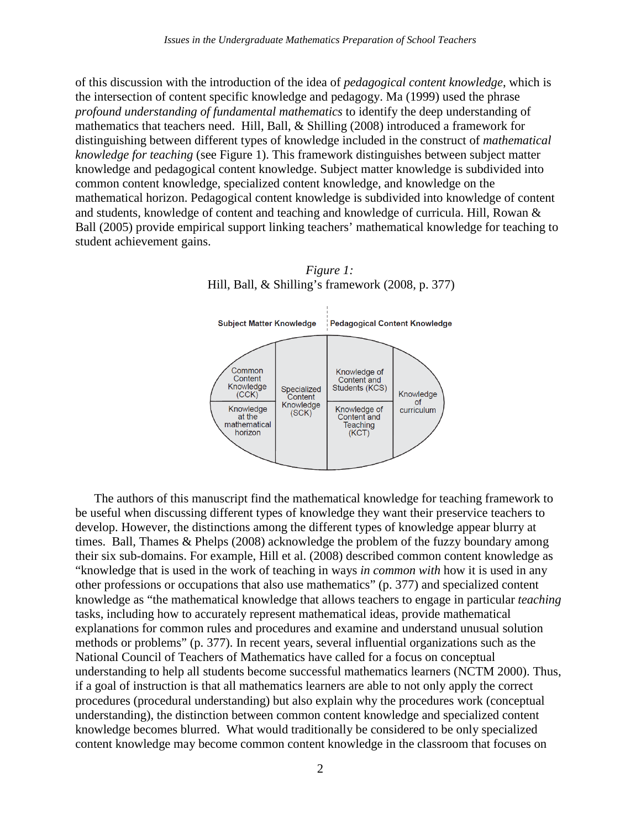of this discussion with the introduction of the idea of *pedagogical content knowledge*, which is the intersection of content specific knowledge and pedagogy. Ma (1999) used the phrase *profound understanding of fundamental mathematics* to identify the deep understanding of mathematics that teachers need. Hill, Ball, & Shilling (2008) introduced a framework for distinguishing between different types of knowledge included in the construct of *mathematical knowledge for teaching* (see Figure 1). This framework distinguishes between subject matter knowledge and pedagogical content knowledge. Subject matter knowledge is subdivided into common content knowledge, specialized content knowledge, and knowledge on the mathematical horizon. Pedagogical content knowledge is subdivided into knowledge of content and students, knowledge of content and teaching and knowledge of curricula. Hill, Rowan & Ball (2005) provide empirical support linking teachers' mathematical knowledge for teaching to student achievement gains.



*Figure 1:* Hill, Ball, & Shilling's framework (2008, p. 377)

The authors of this manuscript find the mathematical knowledge for teaching framework to be useful when discussing different types of knowledge they want their preservice teachers to develop. However, the distinctions among the different types of knowledge appear blurry at times. Ball, Thames & Phelps (2008) acknowledge the problem of the fuzzy boundary among their six sub-domains. For example, Hill et al. (2008) described common content knowledge as "knowledge that is used in the work of teaching in ways *in common with* how it is used in any other professions or occupations that also use mathematics" (p. 377) and specialized content knowledge as "the mathematical knowledge that allows teachers to engage in particular *teaching* tasks, including how to accurately represent mathematical ideas, provide mathematical explanations for common rules and procedures and examine and understand unusual solution methods or problems" (p. 377). In recent years, several influential organizations such as the National Council of Teachers of Mathematics have called for a focus on conceptual understanding to help all students become successful mathematics learners (NCTM 2000). Thus, if a goal of instruction is that all mathematics learners are able to not only apply the correct procedures (procedural understanding) but also explain why the procedures work (conceptual understanding), the distinction between common content knowledge and specialized content knowledge becomes blurred. What would traditionally be considered to be only specialized content knowledge may become common content knowledge in the classroom that focuses on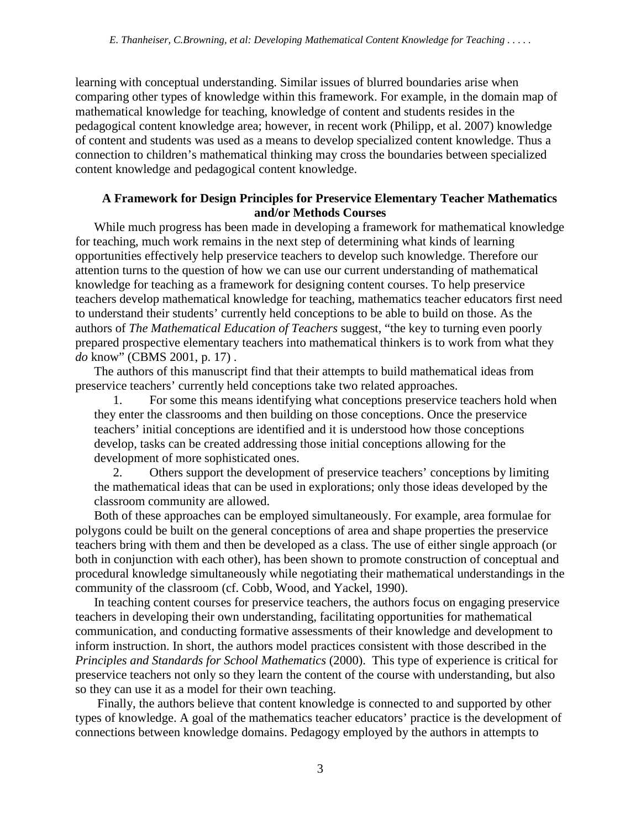learning with conceptual understanding. Similar issues of blurred boundaries arise when comparing other types of knowledge within this framework. For example, in the domain map of mathematical knowledge for teaching, knowledge of content and students resides in the pedagogical content knowledge area; however, in recent work (Philipp, et al. 2007) knowledge of content and students was used as a means to develop specialized content knowledge. Thus a connection to children's mathematical thinking may cross the boundaries between specialized content knowledge and pedagogical content knowledge.

## **A Framework for Design Principles for Preservice Elementary Teacher Mathematics and/or Methods Courses**

While much progress has been made in developing a framework for mathematical knowledge for teaching, much work remains in the next step of determining what kinds of learning opportunities effectively help preservice teachers to develop such knowledge. Therefore our attention turns to the question of how we can use our current understanding of mathematical knowledge for teaching as a framework for designing content courses. To help preservice teachers develop mathematical knowledge for teaching, mathematics teacher educators first need to understand their students' currently held conceptions to be able to build on those. As the authors of *The Mathematical Education of Teachers* suggest, "the key to turning even poorly prepared prospective elementary teachers into mathematical thinkers is to work from what they *do* know" (CBMS 2001, p. 17) .

The authors of this manuscript find that their attempts to build mathematical ideas from preservice teachers' currently held conceptions take two related approaches.

1. For some this means identifying what conceptions preservice teachers hold when they enter the classrooms and then building on those conceptions. Once the preservice teachers' initial conceptions are identified and it is understood how those conceptions develop, tasks can be created addressing those initial conceptions allowing for the development of more sophisticated ones.

2. Others support the development of preservice teachers' conceptions by limiting the mathematical ideas that can be used in explorations; only those ideas developed by the classroom community are allowed.

Both of these approaches can be employed simultaneously. For example, area formulae for polygons could be built on the general conceptions of area and shape properties the preservice teachers bring with them and then be developed as a class. The use of either single approach (or both in conjunction with each other), has been shown to promote construction of conceptual and procedural knowledge simultaneously while negotiating their mathematical understandings in the community of the classroom (cf. Cobb, Wood, and Yackel, 1990).

In teaching content courses for preservice teachers, the authors focus on engaging preservice teachers in developing their own understanding, facilitating opportunities for mathematical communication, and conducting formative assessments of their knowledge and development to inform instruction. In short, the authors model practices consistent with those described in the *Principles and Standards for School Mathematics* (2000). This type of experience is critical for preservice teachers not only so they learn the content of the course with understanding, but also so they can use it as a model for their own teaching.

Finally, the authors believe that content knowledge is connected to and supported by other types of knowledge. A goal of the mathematics teacher educators' practice is the development of connections between knowledge domains. Pedagogy employed by the authors in attempts to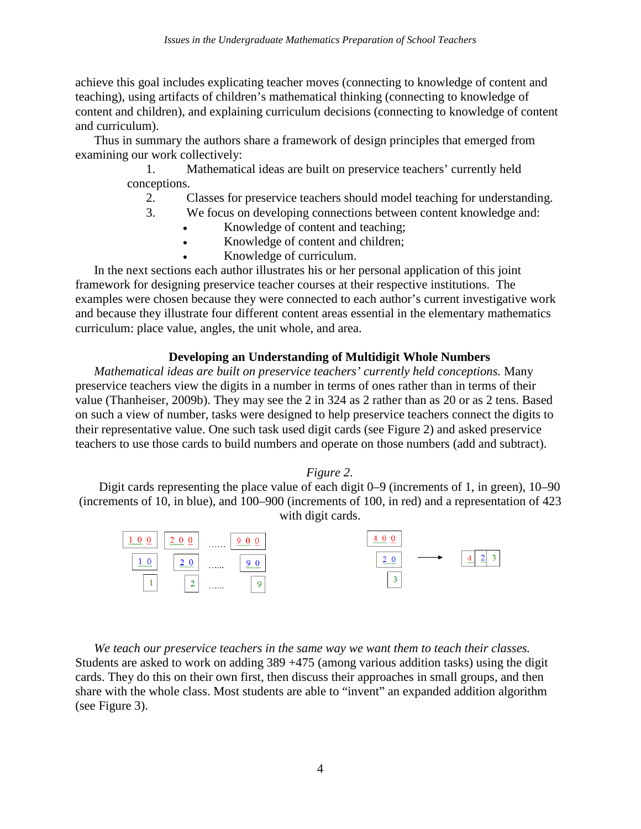achieve this goal includes explicating teacher moves (connecting to knowledge of content and teaching), using artifacts of children's mathematical thinking (connecting to knowledge of content and children), and explaining curriculum decisions (connecting to knowledge of content and curriculum).

Thus in summary the authors share a framework of design principles that emerged from examining our work collectively:

> 1. Mathematical ideas are built on preservice teachers' currently held conceptions.

- 2. Classes for preservice teachers should model teaching for understanding.
- 3. We focus on developing connections between content knowledge and:
	- Knowledge of content and teaching;
	- Knowledge of content and children;
		- Knowledge of curriculum.

In the next sections each author illustrates his or her personal application of this joint framework for designing preservice teacher courses at their respective institutions. The examples were chosen because they were connected to each author's current investigative work and because they illustrate four different content areas essential in the elementary mathematics curriculum: place value, angles, the unit whole, and area.

# **Developing an Understanding of Multidigit Whole Numbers**

*Mathematical ideas are built on preservice teachers' currently held conceptions.* Many preservice teachers view the digits in a number in terms of ones rather than in terms of their value (Thanheiser, 2009b). They may see the 2 in 324 as 2 rather than as 20 or as 2 tens. Based on such a view of number, tasks were designed to help preservice teachers connect the digits to their representative value. One such task used digit cards (see Figure 2) and asked preservice teachers to use those cards to build numbers and operate on those numbers (add and subtract).

### *Figure 2*.

Digit cards representing the place value of each digit 0–9 (increments of 1, in green), 10–90 (increments of 10, in blue), and 100–900 (increments of 100, in red) and a representation of 423 with digit cards.

| <b>MARAGER MAY</b><br><b>MARANAH MA</b>           | <b>MARKAWAY MAY</b><br>. | www.www.ww |                                      |
|---------------------------------------------------|--------------------------|------------|--------------------------------------|
| <b><i>Separation</i></b><br><b><i>SAMANAN</i></b> | .<br>wwwww.              | mmmm       | $\frac{4}{2}$<br>-<br>-<br><b>MM</b> |
| ×<br>∸                                            | -<br>.                   | ٠          |                                      |

*We teach our preservice teachers in the same way we want them to teach their classes.*  Students are asked to work on adding 389 +475 (among various addition tasks) using the digit cards. They do this on their own first, then discuss their approaches in small groups, and then share with the whole class. Most students are able to "invent" an expanded addition algorithm (see Figure 3).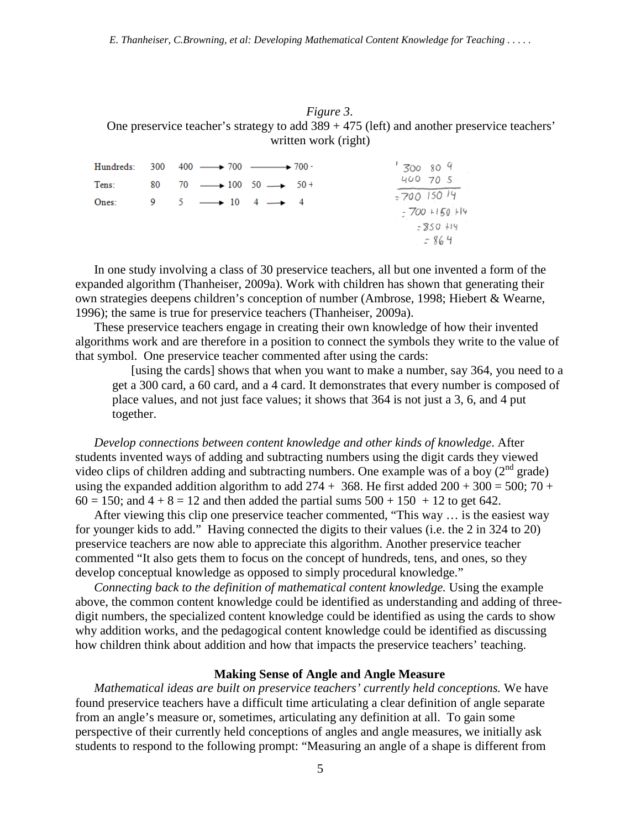## *Figure 3*. One preservice teacher's strategy to add 389 + 475 (left) and another preservice teachers' written work (right)

|       | Hundreds: $300 \quad 400 \longrightarrow 700 \longrightarrow 700$ | '300809                                                  |
|-------|-------------------------------------------------------------------|----------------------------------------------------------|
| Tens: | 80 70 $\longrightarrow$ 100 50 $\longrightarrow$ 50 +             | 400, 70.5                                                |
| Ones: | 9 $5 \rightarrow 10$ $4 \rightarrow 4$                            | $=700$ 150.14<br>$-700 + 150$ Hy<br>$-250 + 19$<br>- 864 |

In one study involving a class of 30 preservice teachers, all but one invented a form of the expanded algorithm (Thanheiser, 2009a). Work with children has shown that generating their own strategies deepens children's conception of number (Ambrose, 1998; Hiebert & Wearne, 1996); the same is true for preservice teachers (Thanheiser, 2009a).

These preservice teachers engage in creating their own knowledge of how their invented algorithms work and are therefore in a position to connect the symbols they write to the value of that symbol. One preservice teacher commented after using the cards:

[using the cards] shows that when you want to make a number, say 364, you need to a get a 300 card, a 60 card, and a 4 card. It demonstrates that every number is composed of place values, and not just face values; it shows that 364 is not just a 3, 6, and 4 put together.

*Develop connections between content knowledge and other kinds of knowledge*. After students invented ways of adding and subtracting numbers using the digit cards they viewed video clips of children adding and subtracting numbers. One example was of a boy  $(2^{nd}$  grade) using the expanded addition algorithm to add  $274 + 368$ . He first added  $200 + 300 = 500$ ;  $70 +$  $60 = 150$ ; and  $4 + 8 = 12$  and then added the partial sums  $500 + 150 + 12$  to get 642.

After viewing this clip one preservice teacher commented, "This way … is the easiest way for younger kids to add." Having connected the digits to their values (i.e. the 2 in 324 to 20) preservice teachers are now able to appreciate this algorithm. Another preservice teacher commented "It also gets them to focus on the concept of hundreds, tens, and ones, so they develop conceptual knowledge as opposed to simply procedural knowledge."

*Connecting back to the definition of mathematical content knowledge.* Using the example above, the common content knowledge could be identified as understanding and adding of threedigit numbers, the specialized content knowledge could be identified as using the cards to show why addition works, and the pedagogical content knowledge could be identified as discussing how children think about addition and how that impacts the preservice teachers' teaching.

#### **Making Sense of Angle and Angle Measure**

*Mathematical ideas are built on preservice teachers' currently held conceptions.* We have found preservice teachers have a difficult time articulating a clear definition of angle separate from an angle's measure or, sometimes, articulating any definition at all. To gain some perspective of their currently held conceptions of angles and angle measures, we initially ask students to respond to the following prompt: "Measuring an angle of a shape is different from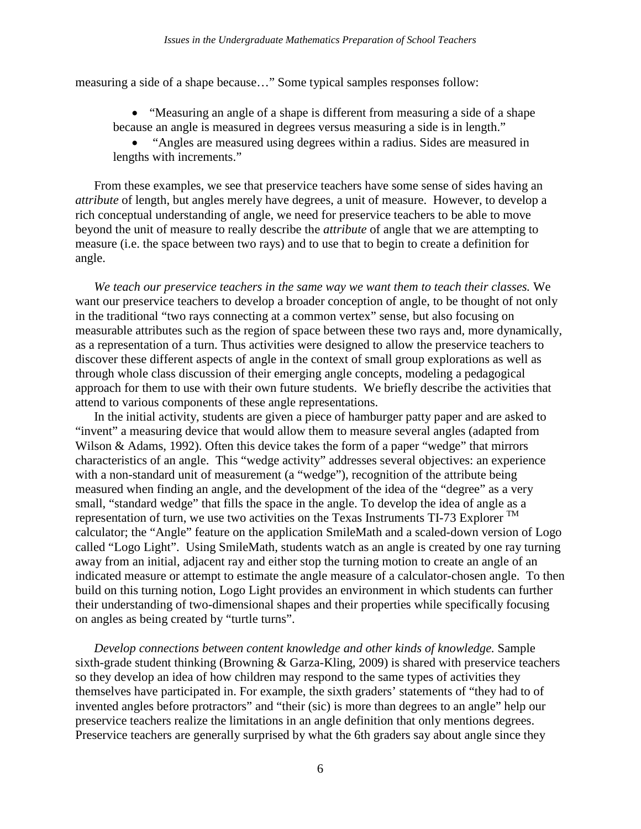measuring a side of a shape because…" Some typical samples responses follow:

• "Measuring an angle of a shape is different from measuring a side of a shape because an angle is measured in degrees versus measuring a side is in length."

• "Angles are measured using degrees within a radius. Sides are measured in lengths with increments."

From these examples, we see that preservice teachers have some sense of sides having an *attribute* of length, but angles merely have degrees, a unit of measure. However, to develop a rich conceptual understanding of angle, we need for preservice teachers to be able to move beyond the unit of measure to really describe the *attribute* of angle that we are attempting to measure (i.e. the space between two rays) and to use that to begin to create a definition for angle.

*We teach our preservice teachers in the same way we want them to teach their classes.* We want our preservice teachers to develop a broader conception of angle, to be thought of not only in the traditional "two rays connecting at a common vertex" sense, but also focusing on measurable attributes such as the region of space between these two rays and, more dynamically, as a representation of a turn. Thus activities were designed to allow the preservice teachers to discover these different aspects of angle in the context of small group explorations as well as through whole class discussion of their emerging angle concepts, modeling a pedagogical approach for them to use with their own future students. We briefly describe the activities that attend to various components of these angle representations.

In the initial activity, students are given a piece of hamburger patty paper and are asked to "invent" a measuring device that would allow them to measure several angles (adapted from Wilson & Adams, 1992). Often this device takes the form of a paper "wedge" that mirrors characteristics of an angle. This "wedge activity" addresses several objectives: an experience with a non-standard unit of measurement (a "wedge"), recognition of the attribute being measured when finding an angle, and the development of the idea of the "degree" as a very small, "standard wedge" that fills the space in the angle. To develop the idea of angle as a representation of turn, we use two activities on the Texas Instruments  $TI-73$  Explorer  $TM$ calculator; the "Angle" feature on the application SmileMath and a scaled-down version of Logo called "Logo Light". Using SmileMath, students watch as an angle is created by one ray turning away from an initial, adjacent ray and either stop the turning motion to create an angle of an indicated measure or attempt to estimate the angle measure of a calculator-chosen angle. To then build on this turning notion, Logo Light provides an environment in which students can further their understanding of two-dimensional shapes and their properties while specifically focusing on angles as being created by "turtle turns".

*Develop connections between content knowledge and other kinds of knowledge.* Sample sixth-grade student thinking (Browning & Garza-Kling, 2009) is shared with preservice teachers so they develop an idea of how children may respond to the same types of activities they themselves have participated in. For example, the sixth graders' statements of "they had to of invented angles before protractors" and "their (sic) is more than degrees to an angle" help our preservice teachers realize the limitations in an angle definition that only mentions degrees. Preservice teachers are generally surprised by what the 6th graders say about angle since they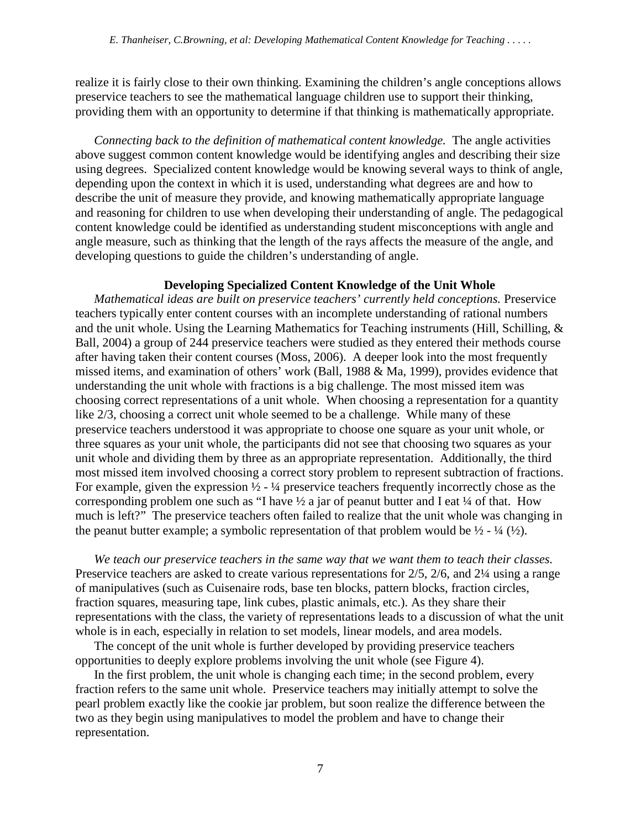realize it is fairly close to their own thinking. Examining the children's angle conceptions allows preservice teachers to see the mathematical language children use to support their thinking, providing them with an opportunity to determine if that thinking is mathematically appropriate.

*Connecting back to the definition of mathematical content knowledge.* The angle activities above suggest common content knowledge would be identifying angles and describing their size using degrees. Specialized content knowledge would be knowing several ways to think of angle, depending upon the context in which it is used, understanding what degrees are and how to describe the unit of measure they provide, and knowing mathematically appropriate language and reasoning for children to use when developing their understanding of angle. The pedagogical content knowledge could be identified as understanding student misconceptions with angle and angle measure, such as thinking that the length of the rays affects the measure of the angle, and developing questions to guide the children's understanding of angle.

#### **Developing Specialized Content Knowledge of the Unit Whole**

*Mathematical ideas are built on preservice teachers' currently held conceptions.* Preservice teachers typically enter content courses with an incomplete understanding of rational numbers and the unit whole. Using the Learning Mathematics for Teaching instruments (Hill, Schilling, & Ball, 2004) a group of 244 preservice teachers were studied as they entered their methods course after having taken their content courses (Moss, 2006). A deeper look into the most frequently missed items, and examination of others' work (Ball, 1988 & Ma, 1999), provides evidence that understanding the unit whole with fractions is a big challenge. The most missed item was choosing correct representations of a unit whole. When choosing a representation for a quantity like  $2/3$ , choosing a correct unit whole seemed to be a challenge. While many of these preservice teachers understood it was appropriate to choose one square as your unit whole, or three squares as your unit whole, the participants did not see that choosing two squares as your unit whole and dividing them by three as an appropriate representation. Additionally, the third most missed item involved choosing a correct story problem to represent subtraction of fractions. For example, given the expression  $\frac{1}{2}$  -  $\frac{1}{4}$  preservice teachers frequently incorrectly chose as the corresponding problem one such as "I have  $\frac{1}{2}$  a jar of peanut butter and I eat  $\frac{1}{4}$  of that. How much is left?" The preservice teachers often failed to realize that the unit whole was changing in the peanut butter example; a symbolic representation of that problem would be  $\frac{1}{2}$  -  $\frac{1}{4}$  ( $\frac{1}{2}$ ).

*We teach our preservice teachers in the same way that we want them to teach their classes.* Preservice teachers are asked to create various representations for 2/5, 2/6, and 2¼ using a range of manipulatives (such as Cuisenaire rods, base ten blocks, pattern blocks, fraction circles, fraction squares, measuring tape, link cubes, plastic animals, etc.). As they share their representations with the class, the variety of representations leads to a discussion of what the unit whole is in each, especially in relation to set models, linear models, and area models.

The concept of the unit whole is further developed by providing preservice teachers opportunities to deeply explore problems involving the unit whole (see Figure 4).

In the first problem, the unit whole is changing each time; in the second problem, every fraction refers to the same unit whole. Preservice teachers may initially attempt to solve the pearl problem exactly like the cookie jar problem, but soon realize the difference between the two as they begin using manipulatives to model the problem and have to change their representation.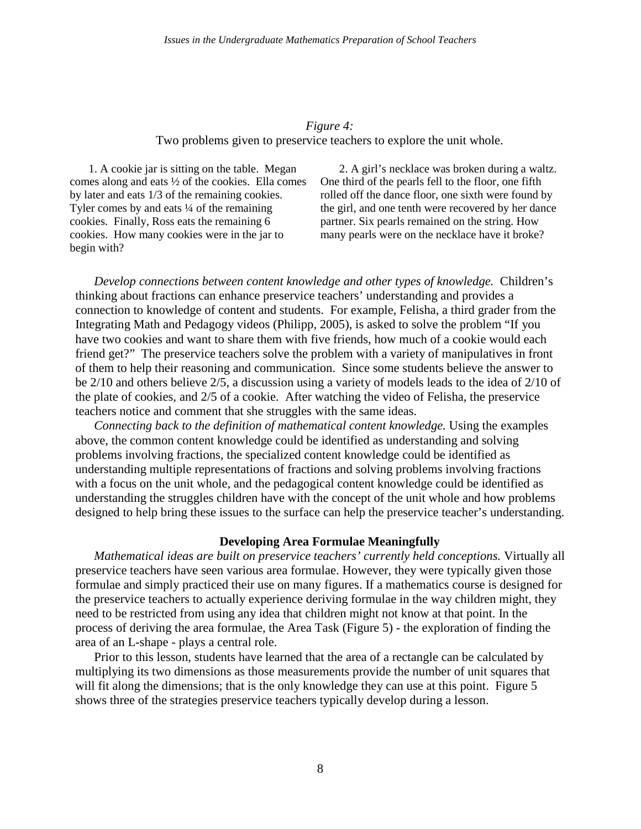# *Figure 4:* Two problems given to preservice teachers to explore the unit whole.

1. A cookie jar is sitting on the table. Megan comes along and eats ½ of the cookies. Ella comes by later and eats 1/3 of the remaining cookies. Tyler comes by and eats  $\frac{1}{4}$  of the remaining cookies. Finally, Ross eats the remaining 6 cookies. How many cookies were in the jar to begin with?

2. A girl's necklace was broken during a waltz. One third of the pearls fell to the floor, one fifth rolled off the dance floor, one sixth were found by the girl, and one tenth were recovered by her dance partner. Six pearls remained on the string. How many pearls were on the necklace have it broke?

*Develop connections between content knowledge and other types of knowledge.* Children's thinking about fractions can enhance preservice teachers' understanding and provides a connection to knowledge of content and students. For example, Felisha, a third grader from the Integrating Math and Pedagogy videos (Philipp, 2005), is asked to solve the problem "If you have two cookies and want to share them with five friends, how much of a cookie would each friend get?" The preservice teachers solve the problem with a variety of manipulatives in front of them to help their reasoning and communication. Since some students believe the answer to be 2/10 and others believe 2/5, a discussion using a variety of models leads to the idea of 2/10 of the plate of cookies, and 2/5 of a cookie. After watching the video of Felisha, the preservice teachers notice and comment that she struggles with the same ideas.

*Connecting back to the definition of mathematical content knowledge.* Using the examples above, the common content knowledge could be identified as understanding and solving problems involving fractions, the specialized content knowledge could be identified as understanding multiple representations of fractions and solving problems involving fractions with a focus on the unit whole, and the pedagogical content knowledge could be identified as understanding the struggles children have with the concept of the unit whole and how problems designed to help bring these issues to the surface can help the preservice teacher's understanding.

### **Developing Area Formulae Meaningfully**

*Mathematical ideas are built on preservice teachers' currently held conceptions.* Virtually all preservice teachers have seen various area formulae. However, they were typically given those formulae and simply practiced their use on many figures. If a mathematics course is designed for the preservice teachers to actually experience deriving formulae in the way children might, they need to be restricted from using any idea that children might not know at that point. In the process of deriving the area formulae, the Area Task (Figure 5) - the exploration of finding the area of an L-shape - plays a central role.

Prior to this lesson, students have learned that the area of a rectangle can be calculated by multiplying its two dimensions as those measurements provide the number of unit squares that will fit along the dimensions; that is the only knowledge they can use at this point. Figure 5 shows three of the strategies preservice teachers typically develop during a lesson.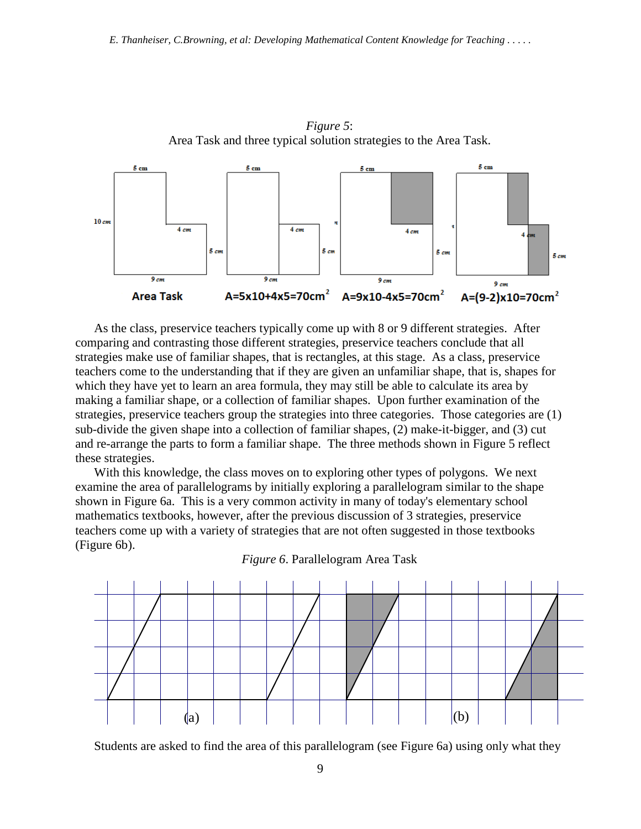

As the class, preservice teachers typically come up with 8 or 9 different strategies. After comparing and contrasting those different strategies, preservice teachers conclude that all strategies make use of familiar shapes, that is rectangles, at this stage. As a class, preservice teachers come to the understanding that if they are given an unfamiliar shape, that is, shapes for which they have yet to learn an area formula, they may still be able to calculate its area by making a familiar shape, or a collection of familiar shapes. Upon further examination of the strategies, preservice teachers group the strategies into three categories. Those categories are (1) sub-divide the given shape into a collection of familiar shapes, (2) make-it-bigger, and (3) cut and re-arrange the parts to form a familiar shape. The three methods shown in Figure 5 reflect these strategies.

With this knowledge, the class moves on to exploring other types of polygons. We next examine the area of parallelograms by initially exploring a parallelogram similar to the shape shown in Figure 6a. This is a very common activity in many of today's elementary school mathematics textbooks, however, after the previous discussion of 3 strategies, preservice teachers come up with a variety of strategies that are not often suggested in those textbooks (Figure 6b).



*Figure 6*. Parallelogram Area Task

Students are asked to find the area of this parallelogram (see Figure 6a) using only what they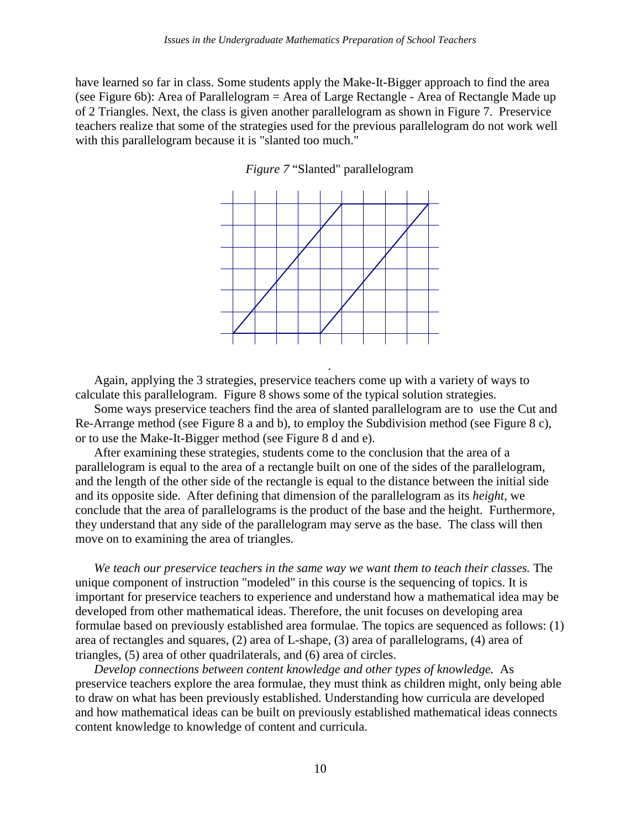have learned so far in class. Some students apply the Make-It-Bigger approach to find the area (see Figure 6b): Area of Parallelogram = Area of Large Rectangle - Area of Rectangle Made up of 2 Triangles. Next, the class is given another parallelogram as shown in Figure 7. Preservice teachers realize that some of the strategies used for the previous parallelogram do not work well with this parallelogram because it is "slanted too much."

*Figure 7* "Slanted" parallelogram



.

Again, applying the 3 strategies, preservice teachers come up with a variety of ways to calculate this parallelogram. Figure 8 shows some of the typical solution strategies.

Some ways preservice teachers find the area of slanted parallelogram are to use the Cut and Re-Arrange method (see Figure 8 a and b), to employ the Subdivision method (see Figure 8 c), or to use the Make-It-Bigger method (see Figure 8 d and e).

After examining these strategies, students come to the conclusion that the area of a parallelogram is equal to the area of a rectangle built on one of the sides of the parallelogram, and the length of the other side of the rectangle is equal to the distance between the initial side and its opposite side. After defining that dimension of the parallelogram as its *height*, we conclude that the area of parallelograms is the product of the base and the height. Furthermore, they understand that any side of the parallelogram may serve as the base. The class will then move on to examining the area of triangles.

*We teach our preservice teachers in the same way we want them to teach their classes.* The unique component of instruction "modeled" in this course is the sequencing of topics. It is important for preservice teachers to experience and understand how a mathematical idea may be developed from other mathematical ideas. Therefore, the unit focuses on developing area formulae based on previously established area formulae. The topics are sequenced as follows: (1) area of rectangles and squares, (2) area of L-shape, (3) area of parallelograms, (4) area of triangles, (5) area of other quadrilaterals, and (6) area of circles.

*Develop connections between content knowledge and other types of knowledge.* As preservice teachers explore the area formulae, they must think as children might, only being able to draw on what has been previously established. Understanding how curricula are developed and how mathematical ideas can be built on previously established mathematical ideas connects content knowledge to knowledge of content and curricula.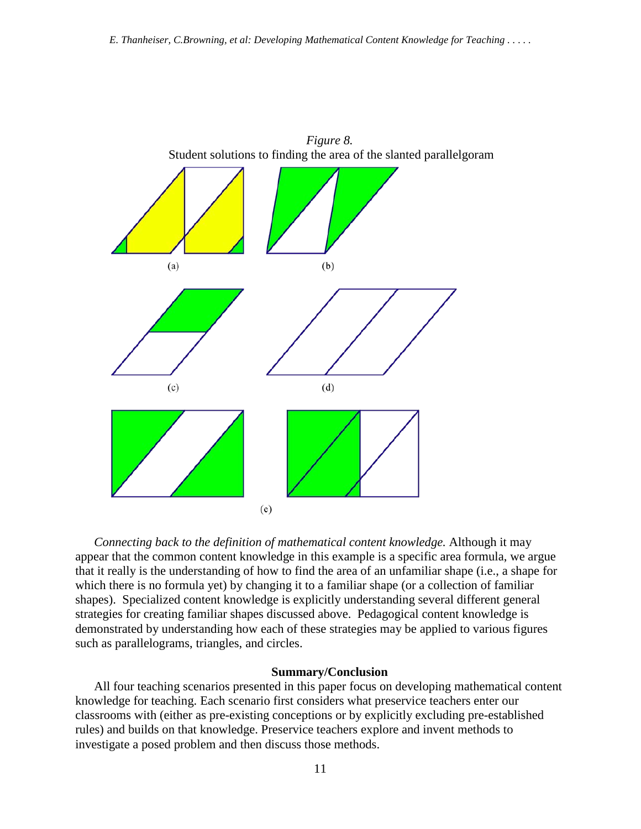

*Connecting back to the definition of mathematical content knowledge.* Although it may appear that the common content knowledge in this example is a specific area formula, we argue that it really is the understanding of how to find the area of an unfamiliar shape (i.e., a shape for which there is no formula yet) by changing it to a familiar shape (or a collection of familiar shapes). Specialized content knowledge is explicitly understanding several different general strategies for creating familiar shapes discussed above. Pedagogical content knowledge is demonstrated by understanding how each of these strategies may be applied to various figures such as parallelograms, triangles, and circles.

#### **Summary/Conclusion**

All four teaching scenarios presented in this paper focus on developing mathematical content knowledge for teaching. Each scenario first considers what preservice teachers enter our classrooms with (either as pre-existing conceptions or by explicitly excluding pre-established rules) and builds on that knowledge. Preservice teachers explore and invent methods to investigate a posed problem and then discuss those methods.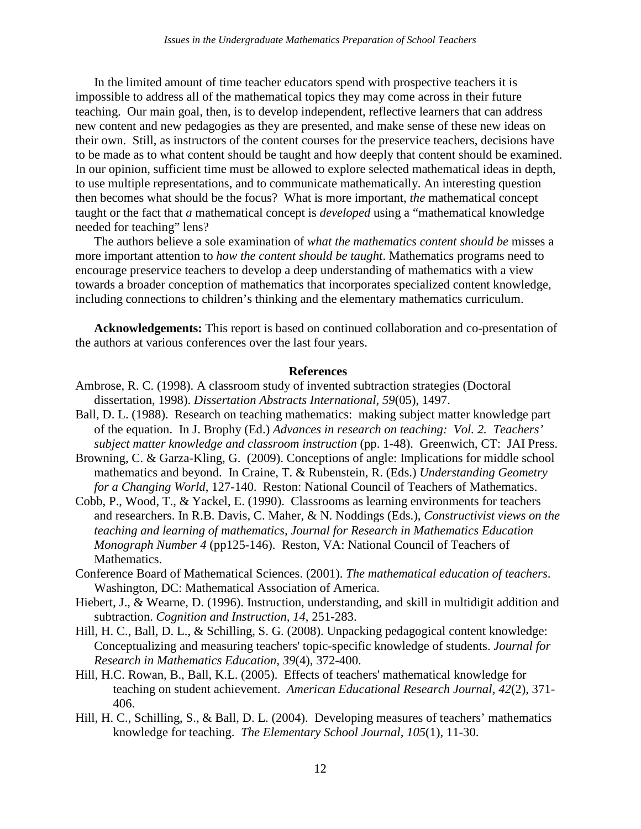In the limited amount of time teacher educators spend with prospective teachers it is impossible to address all of the mathematical topics they may come across in their future teaching. Our main goal, then, is to develop independent, reflective learners that can address new content and new pedagogies as they are presented, and make sense of these new ideas on their own. Still, as instructors of the content courses for the preservice teachers, decisions have to be made as to what content should be taught and how deeply that content should be examined. In our opinion, sufficient time must be allowed to explore selected mathematical ideas in depth, to use multiple representations, and to communicate mathematically. An interesting question then becomes what should be the focus? What is more important, *the* mathematical concept taught or the fact that *a* mathematical concept is *developed* using a "mathematical knowledge needed for teaching" lens?

The authors believe a sole examination of *what the mathematics content should be* misses a more important attention to *how the content should be taught*. Mathematics programs need to encourage preservice teachers to develop a deep understanding of mathematics with a view towards a broader conception of mathematics that incorporates specialized content knowledge, including connections to children's thinking and the elementary mathematics curriculum.

**Acknowledgements:** This report is based on continued collaboration and co-presentation of the authors at various conferences over the last four years.

#### **References**

- Ambrose, R. C. (1998). A classroom study of invented subtraction strategies (Doctoral dissertation, 1998). *Dissertation Abstracts International, 59*(05), 1497.
- Ball, D. L. (1988). Research on teaching mathematics: making subject matter knowledge part of the equation. In J. Brophy (Ed.) *Advances in research on teaching: Vol. 2. Teachers' subject matter knowledge and classroom instruction* (pp. 1-48). Greenwich, CT: JAI Press.
- Browning, C. & Garza-Kling, G. (2009). Conceptions of angle: Implications for middle school mathematics and beyond. In Craine, T. & Rubenstein, R. (Eds.) *Understanding Geometry for a Changing World*, 127-140. Reston: National Council of Teachers of Mathematics.
- Cobb, P., Wood, T., & Yackel, E. (1990). Classrooms as learning environments for teachers and researchers. In R.B. Davis, C. Maher, & N. Noddings (Eds.), *Constructivist views on the teaching and learning of mathematics, Journal for Research in Mathematics Education Monograph Number 4* (pp125-146). Reston, VA: National Council of Teachers of Mathematics.
- Conference Board of Mathematical Sciences. (2001). *The mathematical education of teachers*. Washington, DC: Mathematical Association of America.
- Hiebert, J., & Wearne, D. (1996). Instruction, understanding, and skill in multidigit addition and subtraction. *Cognition and Instruction, 14*, 251-283.
- Hill, H. C., Ball, D. L., & Schilling, S. G. (2008). Unpacking pedagogical content knowledge: Conceptualizing and measuring teachers' topic-specific knowledge of students. *Journal for Research in Mathematics Education, 39*(4), 372-400.
- Hill, H.C. Rowan, B., Ball, K.L. (2005). Effects of teachers' mathematical knowledge for teaching on student achievement. *American Educational Research Journal, 42*(2), 371- 406.
- Hill, H. C., Schilling, S., & Ball, D. L. (2004). Developing measures of teachers' mathematics knowledge for teaching. *The Elementary School Journal, 105*(1), 11-30.